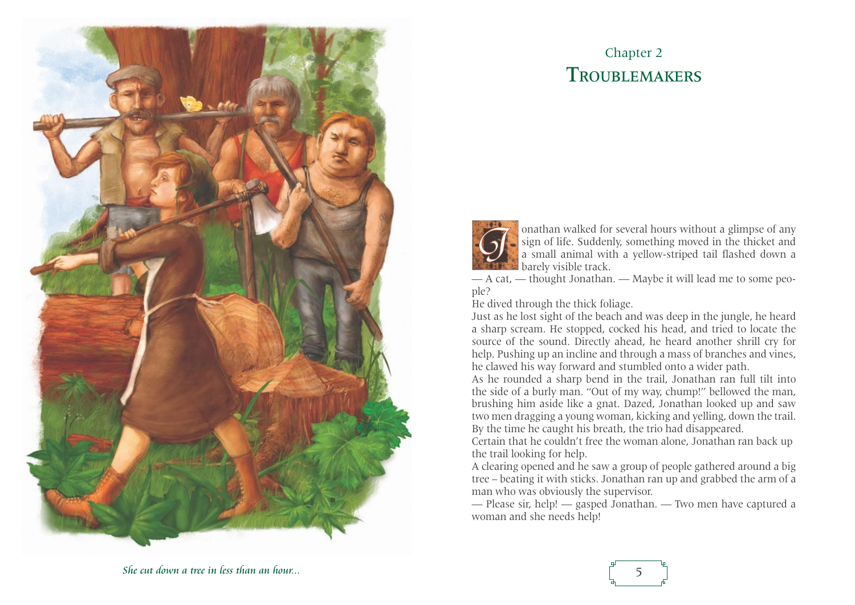

### Chapter 2 **TROUBLEMAKERS**



onathan walked for several hours without a glimpse of any sign of life. Suddenly, something moved in the thicket and a small animal with a yellow-striped tail flashed down a **barely** visible track.

— A cat, — thought Jonathan. — Maybe it will lead me to some people?

He dived through the thick foliage.

Just as he lost sight of the beach and was deep in the jungle, he heard a sharp scream. He stopped, cocked his head, and tried to locate the source of the sound. Directly ahead, he heard another shrill cry for help. Pushing up an incline and through a mass of branches and vines, he clawed his way forward and stumbled onto a wider path.

As he rounded a sharp bend in the trail, Jonathan ran full tilt into the side of a burly man. "Out of my way, chump!" bellowed the man, brushing him aside like a gnat. Dazed, Jonathan looked up and saw two men dragging a young woman, kicking and yelling, down the trail. By the time he caught his breath, the trio had disappeared.

Certain that he couldn't free the woman alone, Jonathan ran back up the trail looking for help.

A clearing opened and he saw a group of people gathered around a big tree – beating it with sticks. Jonathan ran up and grabbed the arm of a man who was obviously the supervisor.

— Please sir, help! — gasped Jonathan. — Two men have captured a woman and she needs help!

She cut down a tree in less than an hour... 5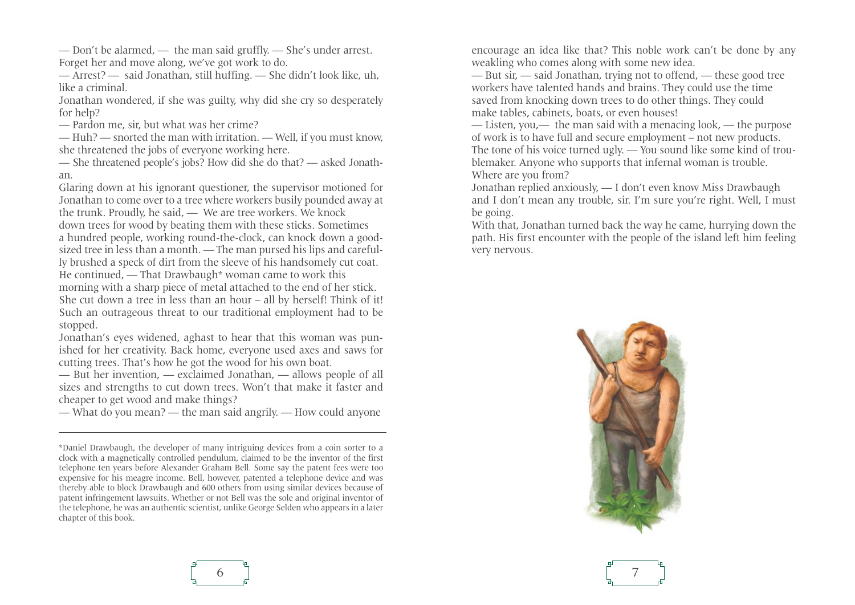— Don't be alarmed, — the man said gruffly. — She's under arrest. Forget her and move along, we've got work to do.

— Arrest? — said Jonathan, still huffing. — She didn't look like, uh, like a criminal.

Jonathan wondered, if she was guilty, why did she cry so desperately for help?

— Pardon me, sir, but what was her crime?

— Huh? — snorted the man with irritation. — Well, if you must know, she threatened the jobs of everyone working here.

— She threatened people's jobs? How did she do that? — asked Jonathan.

Glaring down at his ignorant questioner, the supervisor motioned for Jonathan to come over to a tree where workers busily pounded away at the trunk. Proudly, he said, — We are tree workers. We knock down trees for wood by beating them with these sticks. Sometimes a hundred people, working round-the-clock, can knock down a goodsized tree in less than a month. — The man pursed his lips and carefully brushed a speck of dirt from the sleeve of his handsomely cut coat. He continued, — That Drawbaugh\* woman came to work this morning with a sharp piece of metal attached to the end of her stick. She cut down a tree in less than an hour – all by herself! Think of it! Such an outrageous threat to our traditional employment had to be stopped.

Jonathan's eyes widened, aghast to hear that this woman was punished for her creativity. Back home, everyone used axes and saws for cutting trees. That's how he got the wood for his own boat.

— But her invention, — exclaimed Jonathan, — allows people of all sizes and strengths to cut down trees. Won't that make it faster and cheaper to get wood and make things?

— What do you mean? — the man said angrily. — How could anyone

\*Daniel Drawbaugh, the developer of many intriguing devices from a coin sorter to a clock with a magnetically controlled pendulum, claimed to be the inventor of the first telephone ten years before Alexander Graham Bell. Some say the patent fees were too expensive for his meagre income. Bell, however, patented a telephone device and was thereby able to block Drawbaugh and 600 others from using similar devices because of patent infringement lawsuits. Whether or not Bell was the sole and original inventor of the telephone, he was an authentic scientist, unlike George Selden who appears in a later chapter of this book.



— But sir, — said Jonathan, trying not to offend, — these good tree workers have talented hands and brains. They could use the time saved from knocking down trees to do other things. They could make tables, cabinets, boats, or even houses!

— Listen, you,— the man said with a menacing look, — the purpose of work is to have full and secure employment – not new products. The tone of his voice turned ugly. — You sound like some kind of troublemaker. Anyone who supports that infernal woman is trouble. Where are you from?

Jonathan replied anxiously, — I don't even know Miss Drawbaugh and I don't mean any trouble, sir. I'm sure you're right. Well, I must be going.

With that, Jonathan turned back the way he came, hurrying down the path. His first encounter with the people of the island left him feeling very nervous.



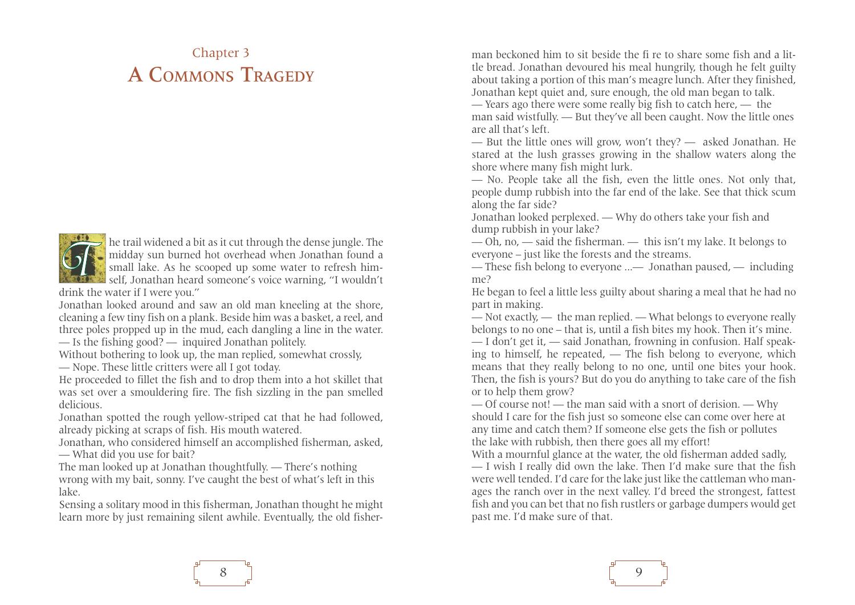## Chapter 3 A COMMONS TRAGEDY



he trail widened a bit as it cut through the dense jungle. The midday sun burned hot overhead when Jonathan found a small lake. As he scooped up some water to refresh himself, Jonathan heard someone's voice warning, "I wouldn't drink the water if I were you."

Jonathan looked around and saw an old man kneeling at the shore, cleaning a few tiny fish on a plank. Beside him was a basket, a reel, and three poles propped up in the mud, each dangling a line in the water.

— Is the fishing good? — inquired Jonathan politely.

Without bothering to look up, the man replied, somewhat crossly,

— Nope. These little critters were all I got today.

He proceeded to fillet the fish and to drop them into a hot skillet that was set over a smouldering fire. The fish sizzling in the pan smelled delicious.

Jonathan spotted the rough yellow-striped cat that he had followed, already picking at scraps of fish. His mouth watered.

Jonathan, who considered himself an accomplished fisherman, asked, — What did you use for bait?

The man looked up at Jonathan thoughtfully. — There's nothing wrong with my bait, sonny. I've caught the best of what's left in this

lake.

Sensing a solitary mood in this fisherman, Jonathan thought he might learn more by just remaining silent awhile. Eventually, the old fisher-

man beckoned him to sit beside the fi re to share some fish and a little bread. Jonathan devoured his meal hungrily, though he felt guilty about taking a portion of this man's meagre lunch. After they finished, Jonathan kept quiet and, sure enough, the old man began to talk.

— Years ago there were some really big fish to catch here, — the man said wistfully. — But they've all been caught. Now the little ones are all that's left.

— But the little ones will grow, won't they? — asked Jonathan. He stared at the lush grasses growing in the shallow waters along the shore where many fish might lurk.

— No. People take all the fish, even the little ones. Not only that, people dump rubbish into the far end of the lake. See that thick scum along the far side?

Jonathan looked perplexed. — Why do others take your fish and dump rubbish in your lake?

— Oh, no, — said the fisherman. — this isn't my lake. It belongs to everyone – just like the forests and the streams.

— These fish belong to everyone ...— Jonathan paused, — including me?

He began to feel a little less guilty about sharing a meal that he had no part in making.

— Not exactly, — the man replied. — What belongs to everyone really belongs to no one – that is, until a fish bites my hook. Then it's mine. — I don't get it, — said Jonathan, frowning in confusion. Half speaking to himself, he repeated, — The fish belong to everyone, which means that they really belong to no one, until one bites your hook. Then, the fish is yours? But do you do anything to take care of the fish or to help them grow?

— Of course not! — the man said with a snort of derision. — Why should I care for the fish just so someone else can come over here at any time and catch them? If someone else gets the fish or pollutes the lake with rubbish, then there goes all my effort!

With a mournful glance at the water, the old fisherman added sadly, — I wish I really did own the lake. Then I'd make sure that the fish were well tended. I'd care for the lake just like the cattleman who manages the ranch over in the next valley. I'd breed the strongest, fattest fish and you can bet that no fish rustlers or garbage dumpers would get past me. I'd make sure of that.

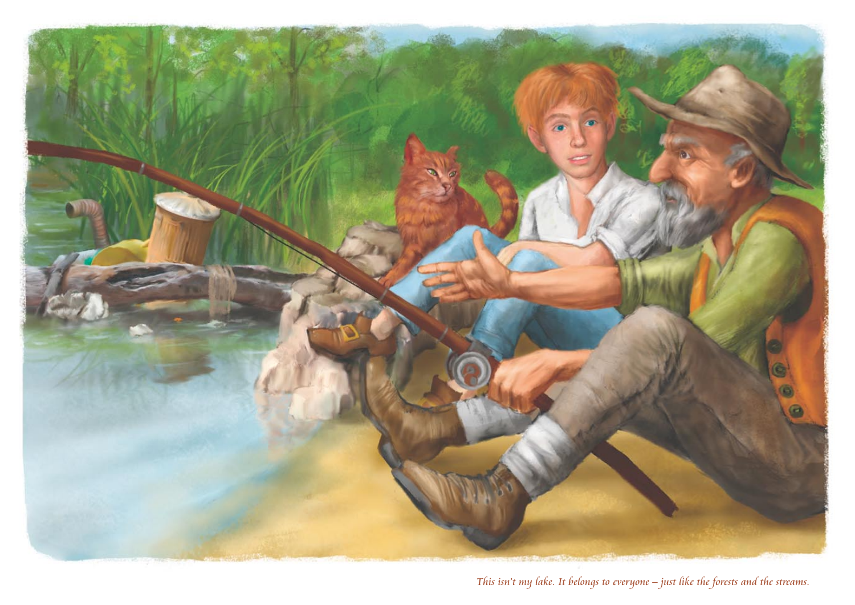

#### This isn't my lake. It belongs to everyone – just like the forests and the streams.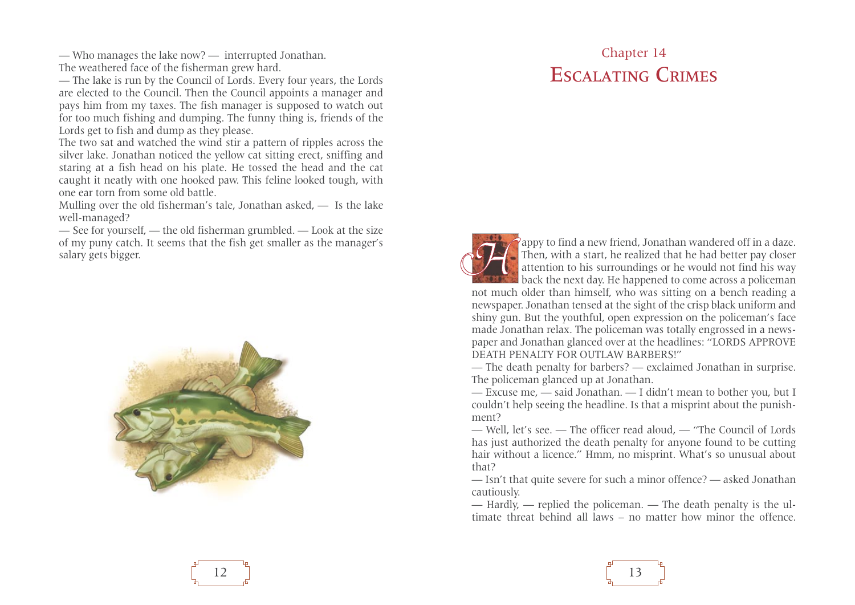— Who manages the lake now? — interrupted Jonathan.

The weathered face of the fisherman grew hard.

— The lake is run by the Council of Lords. Every four years, the Lords are elected to the Council. Then the Council appoints a manager and pays him from my taxes. The fish manager is supposed to watch out for too much fishing and dumping. The funny thing is, friends of the Lords get to fish and dump as they please.

The two sat and watched the wind stir a pattern of ripples across the silver lake. Jonathan noticed the yellow cat sitting erect, sniffing and staring at a fish head on his plate. He tossed the head and the cat caught it neatly with one hooked paw. This feline looked tough, with one ear torn from some old battle.

Mulling over the old fisherman's tale, Jonathan asked, — Is the lake well-managed?

— See for yourself, — the old fisherman grumbled. — Look at the size of my puny catch. It seems that the fish get smaller as the manager's salary gets bigger.



# Chapter 14 ESCALATING CRIMES



 $\gamma$ appy to find a new friend, Jonathan wandered off in a daze. Then, with a start, he realized that he had better pay closer attention to his surroundings or he would not find his way back the next day. He happened to come across a policeman

not much older than himself, who was sitting on a bench reading a newspaper. Jonathan tensed at the sight of the crisp black uniform and shiny gun. But the youthful, open expression on the policeman's face made Jonathan relax. The policeman was totally engrossed in a newspaper and Jonathan glanced over at the headlines: "LORDS APPROVE DEATH PENALTY FOR OUTLAW BARBERS!"

— The death penalty for barbers? — exclaimed Jonathan in surprise. The policeman glanced up at Jonathan.

— Excuse me, — said Jonathan. — I didn't mean to bother you, but I couldn't help seeing the headline. Is that a misprint about the punishment?

— Well, let's see. — The officer read aloud, — "The Council of Lords has just authorized the death penalty for anyone found to be cutting hair without a licence." Hmm, no misprint. What's so unusual about that?

— Isn't that quite severe for such a minor offence? — asked Jonathan cautiously.

— Hardly, — replied the policeman. — The death penalty is the ultimate threat behind all laws – no matter how minor the offence.



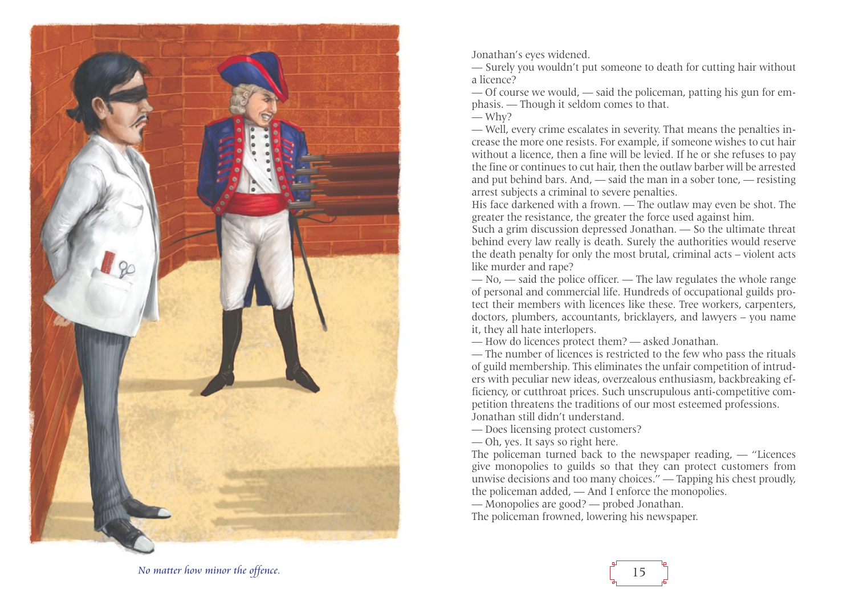

Jonathan's eyes widened.

— Surely you wouldn't put someone to death for cutting hair without a licence?

— Of course we would, — said the policeman, patting his gun for em phasis. — Though it seldom comes to that.

— Why?

— Well, every crime escalates in severity. That means the penalties in crease the more one resists. For example, if someone wishes to cut hair without a licence, then a fine will be levied. If he or she refuses to pay the fine or continues to cut hair, then the outlaw barber will be arrested and put behind bars. And, — said the man in a sober tone, — resisting arrest subjects a criminal to severe penalties.

His face darkened with a frown. — The outlaw may even be shot. The greater the resistance, the greater the force used against him.

Such a grim discussion depressed Jonathan. — So the ultimate threat behind every law really is death. Surely the authorities would reserve the death penalty for only the most brutal, criminal acts – violent acts like murder and rape?

— No, — said the police officer. — The law regulates the whole range of personal and commercial life. Hundreds of occupational guilds pro tect their members with licences like these. Tree workers, carpenters, doctors, plumbers, accountants, bricklayers, and lawyers – you name it, they all hate interlopers.

— How do licences protect them? — asked Jonathan.

— The number of licences is restricted to the few who pass the rituals of guild membership. This eliminates the unfair competition of intrud ers with peculiar new ideas, overzealous enthusiasm, backbreaking ef ficiency, or cutthroat prices. Such unscrupulous anti-competitive com petition threatens the traditions of our most esteemed professions. Jonathan still didn't understand.

— Does licensing protect customers?

— Oh, yes. It says so right here.

The policeman turned back to the newspaper reading, — "Licences give monopolies to guilds so that they can protect customers from unwise decisions and too many choices." — Tapping his chest proudly, the policeman added, — And I enforce the monopolies.

— Monopolies are good? — probed Jonathan.

The policeman frowned, lowering his newspaper.

No matter how minor the offence.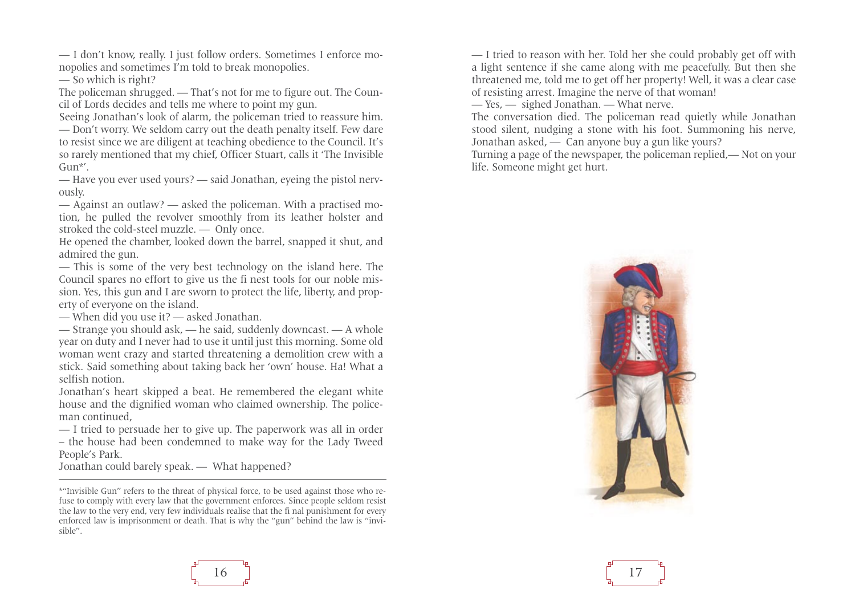— I don't know, really. I just follow orders. Sometimes I enforce monopolies and sometimes I'm told to break monopolies.

— So which is right?

The policeman shrugged. — That's not for me to figure out. The Council of Lords decides and tells me where to point my gun.

Seeing Jonathan's look of alarm, the policeman tried to reassure him. — Don't worry. We seldom carry out the death penalty itself. Few dare to resist since we are diligent at teaching obedience to the Council. It's so rarely mentioned that my chief, Officer Stuart, calls it 'The Invisible  $Gun^{\star}$ .

— Have you ever used yours? — said Jonathan, eyeing the pistol nervously.

— Against an outlaw? — asked the policeman. With a practised motion, he pulled the revolver smoothly from its leather holster and stroked the cold-steel muzzle. — Only once.

He opened the chamber, looked down the barrel, snapped it shut, and admired the gun.

— This is some of the very best technology on the island here. The Council spares no effort to give us the fi nest tools for our noble mission. Yes, this gun and I are sworn to protect the life, liberty, and property of everyone on the island.

— When did you use it? — asked Jonathan.

— Strange you should ask, — he said, suddenly downcast. — A whole year on duty and I never had to use it until just this morning. Some old woman went crazy and started threatening a demolition crew with a stick. Said something about taking back her 'own' house. Ha! What a selfish notion.

Jonathan's heart skipped a beat. He remembered the elegant white house and the dignified woman who claimed ownership. The policeman continued,

— I tried to persuade her to give up. The paperwork was all in order – the house had been condemned to make way for the Lady Tweed People's Park.

Jonathan could barely speak. — What happened?

\*"Invisible Gun" refers to the threat of physical force, to be used against those who refuse to comply with every law that the government enforces. Since people seldom resist the law to the very end, very few individuals realise that the fi nal punishment for every enforced law is imprisonment or death. That is why the "gun" behind the law is "invisible".

— I tried to reason with her. Told her she could probably get off with a light sentence if she came along with me peacefully. But then she threatened me, told me to get off her property! Well, it was a clear case of resisting arrest. Imagine the nerve of that woman!

— Yes, — sighed Jonathan. — What nerve.

The conversation died. The policeman read quietly while Jonathan stood silent, nudging a stone with his foot. Summoning his nerve, Jonathan asked, — Can anyone buy a gun like yours?

Turning a page of the newspaper, the policeman replied,— Not on your life. Someone might get hurt.